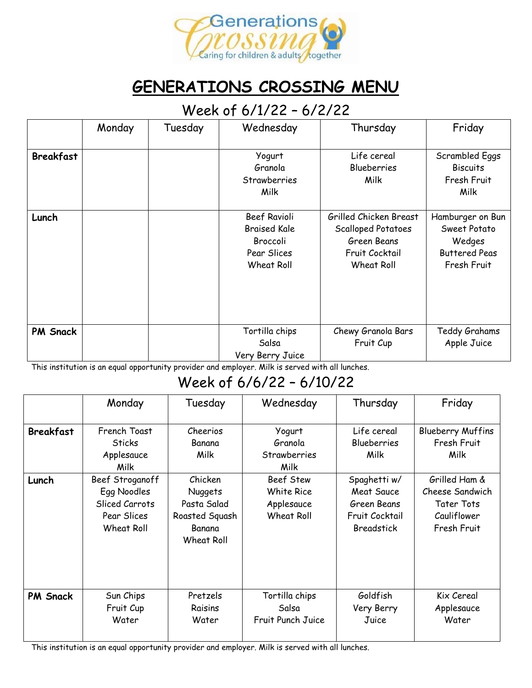

# **GENERATIONS CROSSING MENU**

#### Week of 6/1/22 – 6/2/22

|                  | Monday | Tuesday | Wednesday           | Thursday                  | Friday               |
|------------------|--------|---------|---------------------|---------------------------|----------------------|
|                  |        |         |                     |                           |                      |
| <b>Breakfast</b> |        |         | Yogurt              | Life cereal               | Scrambled Eggs       |
|                  |        |         | Granola             | <b>Blueberries</b>        | <b>Biscuits</b>      |
|                  |        |         | Strawberries        | Milk                      | Fresh Fruit          |
|                  |        |         | Milk                |                           | Milk                 |
|                  |        |         |                     |                           |                      |
| Lunch            |        |         | Beef Ravioli        | Grilled Chicken Breast    | Hamburger on Bun     |
|                  |        |         | <b>Braised Kale</b> | <b>Scalloped Potatoes</b> | Sweet Potato         |
|                  |        |         | Broccoli            | Green Beans               | Wedges               |
|                  |        |         | Pear Slices         | Fruit Cocktail            | <b>Buttered Peas</b> |
|                  |        |         | Wheat Roll          | Wheat Roll                | Fresh Fruit          |
|                  |        |         |                     |                           |                      |
|                  |        |         |                     |                           |                      |
|                  |        |         |                     |                           |                      |
|                  |        |         |                     |                           |                      |
| <b>PM Snack</b>  |        |         | Tortilla chips      | Chewy Granola Bars        | Teddy Grahams        |
|                  |        |         | Salsa               | Fruit Cup                 | Apple Juice          |
|                  |        |         | Very Berry Juice    |                           |                      |

This institution is an equal opportunity provider and employer. Milk is served with all lunches.

### Week of 6/6/22 – 6/10/22

|                           | Monday                                                                 | Tuesday                                                                 | Wednesday                                                            | Thursday                                                                | Friday                                                           |
|---------------------------|------------------------------------------------------------------------|-------------------------------------------------------------------------|----------------------------------------------------------------------|-------------------------------------------------------------------------|------------------------------------------------------------------|
| <b>Breakfast</b><br>Lunch | French Toast<br><b>Sticks</b><br>Applesauce<br>Milk<br>Beef Stroganoff | Cheerios<br>Banana<br>Milk<br>Chicken                                   | Yogurt<br>Granola<br><b>Strawberries</b><br>Milk<br><b>Beef Stew</b> | Life cereal<br><b>Blueberries</b><br>Milk<br>Spaghetti w/               | <b>Blueberry Muffins</b><br>Fresh Fruit<br>Milk<br>Grilled Ham & |
|                           | Egg Noodles<br>Sliced Carrots<br>Pear Slices<br>Wheat Roll             | <b>Nuggets</b><br>Pasta Salad<br>Roasted Squash<br>Banana<br>Wheat Roll | White Rice<br>Applesauce<br>Wheat Roll                               | <b>Meat Sauce</b><br>Green Beans<br>Fruit Cocktail<br><b>Breadstick</b> | Cheese Sandwich<br>Tater Tots<br>Cauliflower<br>Fresh Fruit      |
| <b>PM Snack</b>           | Sun Chips<br>Fruit Cup<br>Water                                        | Pretzels<br>Raisins<br>Water                                            | Tortilla chips<br>Salsa<br>Fruit Punch Juice                         | Goldfish<br>Very Berry<br>Juice                                         | Kix Cereal<br>Applesauce<br>Water                                |

This institution is an equal opportunity provider and employer. Milk is served with all lunches.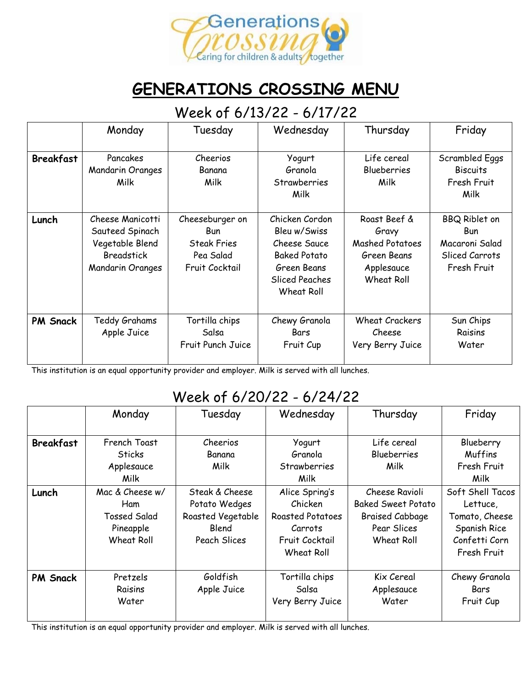

## **GENERATIONS CROSSING MENU**

#### Week of 6/13/22 - 6/17/22

|                  | Monday                                                                                          | Tuesday                                                                            | Wednesday                                                                                                            | Thursday                                                                                   | Friday                                                                                |
|------------------|-------------------------------------------------------------------------------------------------|------------------------------------------------------------------------------------|----------------------------------------------------------------------------------------------------------------------|--------------------------------------------------------------------------------------------|---------------------------------------------------------------------------------------|
| <b>Breakfast</b> | Pancakes<br>Mandarin Oranges<br>Milk                                                            | Cheerios<br>Banana<br>Milk                                                         | Yogurt<br>Granola<br>Strawberries<br>Milk                                                                            | Life cereal<br><b>Blueberries</b><br>Milk                                                  | Scrambled Eggs<br><b>Biscuits</b><br>Fresh Fruit<br>Milk                              |
| Lunch            | Cheese Manicotti<br>Sauteed Spinach<br>Vegetable Blend<br><b>Breadstick</b><br>Mandarin Oranges | Cheeseburger on<br><b>Bun</b><br><b>Steak Fries</b><br>Pea Salad<br>Fruit Cocktail | Chicken Cordon<br>Bleu w/Swiss<br>Cheese Sauce<br><b>Baked Potato</b><br>Green Beans<br>Sliced Peaches<br>Wheat Roll | Roast Beef &<br>Gravy<br><b>Mashed Potatoes</b><br>Green Beans<br>Applesauce<br>Wheat Roll | <b>BBQ Riblet on</b><br><b>Bun</b><br>Macaroni Salad<br>Sliced Carrots<br>Fresh Fruit |
| <b>PM Snack</b>  | Teddy Grahams<br>Apple Juice                                                                    | Tortilla chips<br>Salsa<br>Fruit Punch Juice                                       | Chewy Granola<br>Bars<br>Fruit Cup                                                                                   | <b>Wheat Crackers</b><br>Cheese<br>Very Berry Juice                                        | Sun Chips<br>Raisins<br>Water                                                         |

This institution is an equal opportunity provider and employer. Milk is served with all lunches.

#### Week of 6/20/22 - 6/24/22

|                  | Monday              | Tuesday           | Wednesday               | Thursday                  | Friday           |
|------------------|---------------------|-------------------|-------------------------|---------------------------|------------------|
| <b>Breakfast</b> | French Toast        | Cheerios          | Yogurt                  | Life cereal               | Blueberry        |
|                  | <b>Sticks</b>       | Banana            | Granola                 | <b>Blueberries</b>        | <b>Muffins</b>   |
|                  | Applesauce          | Milk              | <b>Strawberries</b>     | Milk                      | Fresh Fruit      |
|                  | Milk                |                   | Milk                    |                           | Milk             |
| Lunch            | Mac & Cheese w/     | Steak & Cheese    | Alice Spring's          | Cheese Ravioli            | Soft Shell Tacos |
|                  | Ham                 | Potato Wedges     | Chicken                 | <b>Baked Sweet Potato</b> | Lettuce,         |
|                  | <b>Tossed Salad</b> | Roasted Vegetable | <b>Roasted Potatoes</b> | <b>Braised Cabbage</b>    | Tomato, Cheese   |
|                  | Pineapple           | Blend             | Carrots                 | Pear Slices               | Spanish Rice     |
|                  | <b>Wheat Roll</b>   | Peach Slices      | Fruit Cocktail          | Wheat Roll                | Confetti Corn    |
|                  |                     |                   | Wheat Roll              |                           | Fresh Fruit      |
|                  |                     |                   |                         |                           |                  |
| <b>PM Snack</b>  | Pretzels            | Goldfish          | Tortilla chips          | Kix Cereal                | Chewy Granola    |
|                  | Raisins             | Apple Juice       | Salsa                   | Applesauce                | Bars             |
|                  | Water               |                   | Very Berry Juice        | Water                     | Fruit Cup        |
|                  |                     |                   |                         |                           |                  |

This institution is an equal opportunity provider and employer. Milk is served with all lunches.